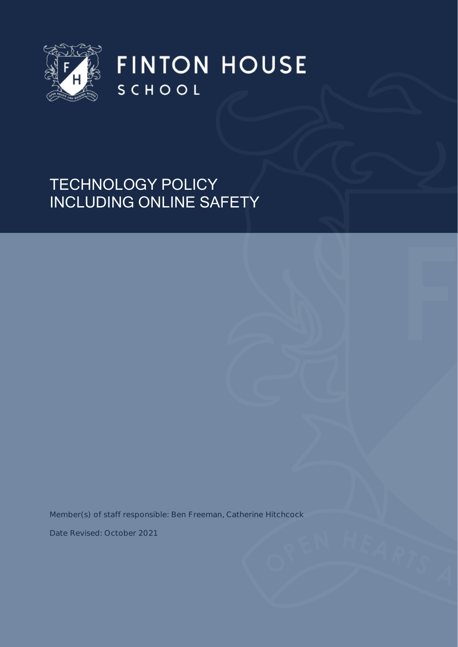

**FINTON HOUSE** SCHOOL

# TECHNOLOGY POLICY INCLUDING ONLINE SAFETY

Member(s) of staff responsible: Ben Freeman, Catherine Hitchcock

Date Revised: October 2021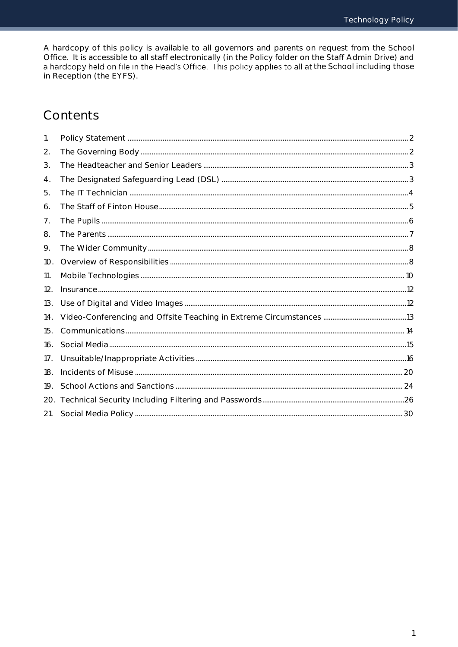A hardcopy of this policy is available to all governors and parents on request from the School Office. It is accessible to all staff electronically (in the Policy folder on the Staff Admin Drive) and a hardcopy held on file in the Head's Office. This policy applies to all at the School including those in Reception (the EYFS).

## Contents

| 1.  |  |
|-----|--|
| 2.  |  |
| 3.  |  |
| 4.  |  |
| 5.  |  |
| 6.  |  |
| 7.  |  |
| 8.  |  |
| 9.  |  |
| 10. |  |
| 11. |  |
| 12. |  |
| 13. |  |
| 14. |  |
| 15. |  |
| 16. |  |
| 17. |  |
| 18. |  |
| 19. |  |
| 20. |  |
| 21. |  |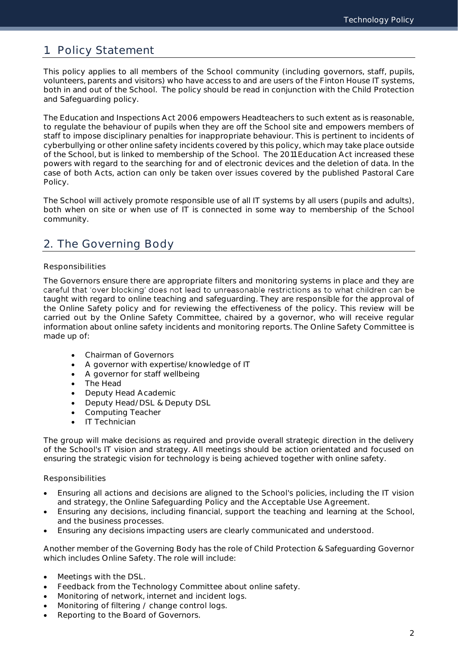## <span id="page-2-0"></span>1. Policy Statement

This policy applies to all members of the School community (including governors, staff, pupils, volunteers, parents and visitors) who have access to and are users of the Finton House IT systems, both in and out of the School. The policy should be read in conjunction with the Child Protection and Safeguarding policy.

The Education and Inspections Act 2006 empowers Headteachers to such extent as is reasonable, to regulate the behaviour of pupils when they are off the School site and empowers members of staff to impose disciplinary penalties for inappropriate behaviour. This is pertinent to incidents of cyberbullying or other online safety incidents covered by this policy, which may take place outside of the School, but is linked to membership of the School. The 2011 Education Act increased these powers with regard to the searching for and of electronic devices and the deletion of data. In the case of both Acts, action can only be taken over issues covered by the published Pastoral Care Policy.

The School will actively promote responsible use of all IT systems by all users (pupils and adults), both when on site or when use of IT is connected in some way to membership of the School community.

## <span id="page-2-1"></span>2. The Governing Body

### Responsibilities

The Governors ensure there are appropriate filters and monitoring systems in place and they are careful that 'over blocking' does not lead to unreasonable restrictions as to what children can be taught with regard to online teaching and safeguarding. They are responsible for the approval of the Online Safety policy and for reviewing the effectiveness of the policy. This review will be carried out by the Online Safety Committee, chaired by a governor, who will receive regular information about online safety incidents and monitoring reports. The Online Safety Committee is made up of:

- Chairman of Governors
- A governor with expertise/knowledge of IT
- A governor for staff wellbeing
- The Head
- Deputy Head Academic
- Deputy Head/DSL & Deputy DSL
- Computing Teacher
- IT Technician

The group will make decisions as required and provide overall strategic direction in the delivery of the School's IT vision and strategy. All meetings should be action orientated and focused on ensuring the strategic vision for technology is being achieved together with online safety.

### Responsibilities

- Ensuring all actions and decisions are aligned to the School's policies, including the IT vision and strategy, the Online Safeguarding Policy and the Acceptable Use Agreement.
- Ensuring any decisions, including financial, support the teaching and learning at the School, and the business processes.
- Ensuring any decisions impacting users are clearly communicated and understood.

Another member of the Governing Body has the role of Child Protection & Safeguarding Governor which includes Online Safety. The role will include:

- Meetings with the DSL.
- Feedback from the Technology Committee about online safety.
- Monitoring of network, internet and incident logs.
- Monitoring of filtering / change control logs.
- Reporting to the Board of Governors.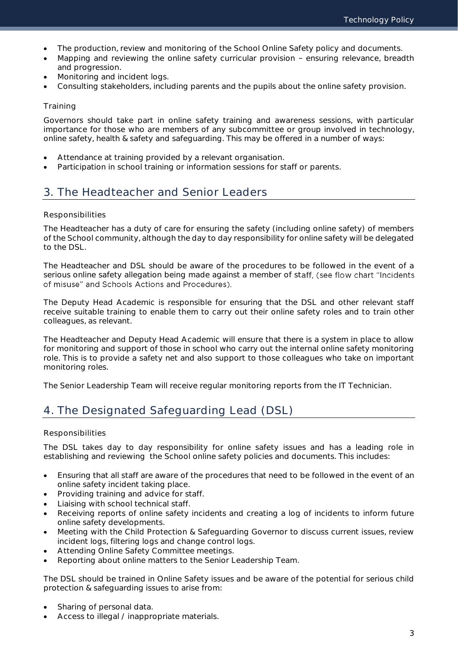- The production, review and monitoring of the School Online Safety policy and documents.
- Mapping and reviewing the online safety curricular provision ensuring relevance, breadth and progression.
- Monitoring and incident logs.
- Consulting stakeholders, including parents and the pupils about the online safety provision.

### **Training**

Governors should take part in online safety training and awareness sessions, with particular importance for those who are members of any subcommittee or group involved in technology, online safety, health & safety and safeguarding. This may be offered in a number of ways:

- Attendance at training provided by a relevant organisation.
- Participation in school training or information sessions for staff or parents.

## <span id="page-3-0"></span>3. The Headteacher and Senior Leaders

### Responsibilities

The Headteacher has a duty of care for ensuring the safety (including online safety) of members of the School community, although the day to day responsibility for online safety will be delegated to the DSL.

The Headteacher and DSL should be aware of the procedures to be followed in the event of a serious online safety allegation being made against a member of staff, (see flow chart "Incidents" of misuse" and Schools Actions and Procedures).

The Deputy Head Academic is responsible for ensuring that the DSL and other relevant staff receive suitable training to enable them to carry out their online safety roles and to train other colleagues, as relevant.

The Headteacher and Deputy Head Academic will ensure that there is a system in place to allow for monitoring and support of those in school who carry out the internal online safety monitoring role. This is to provide a safety net and also support to those colleagues who take on important monitoring roles.

The Senior Leadership Team will receive regular monitoring reports from the IT Technician.

## <span id="page-3-1"></span>4. The Designated Safeguarding Lead (DSL)

### Responsibilities

The DSL takes day to day responsibility for online safety issues and has a leading role in establishing and reviewing the School online safety policies and documents. This includes:

- Ensuring that all staff are aware of the procedures that need to be followed in the event of an online safety incident taking place.
- Providing training and advice for staff.
- Liaising with school technical staff.
- Receiving reports of online safety incidents and creating a log of incidents to inform future online safety developments.
- Meeting with the Child Protection & Safeguarding Governor to discuss current issues, review incident logs, filtering logs and change control logs.
- Attending Online Safety Committee meetings.
- Reporting about online matters to the Senior Leadership Team.

The DSL should be trained in Online Safety issues and be aware of the potential for serious child protection & safeguarding issues to arise from:

- Sharing of personal data.
- Access to illegal / inappropriate materials.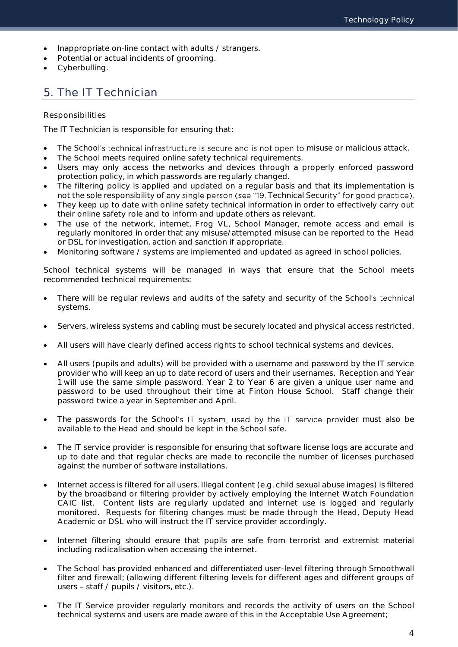- Inappropriate on-line contact with adults / strangers.
- Potential or actual incidents of grooming.
- Cyberbulling.

## <span id="page-4-0"></span>5. The IT Technician

### Responsibilities

The IT Technician is responsible for ensuring that:

- The School's technical infrastructure is secure and is not open to misuse or malicious attack.
- The School meets required online safety technical requirements.
- Users may only access the networks and devices through a properly enforced password protection policy, in which passwords are regularly changed.
- The filtering policy is applied and updated on a regular basis and that its implementation is not the sole responsibility of any single person (see "19. Technical Security" for good practice).
- They keep up to date with online safety technical information in order to effectively carry out their online safety role and to inform and update others as relevant.
- The use of the network, internet, Frog VL, School Manager, remote access and email is regularly monitored in order that any misuse/attempted misuse can be reported to the Head or DSL for investigation, action and sanction if appropriate.
- Monitoring software / systems are implemented and updated as agreed in school policies.

School technical systems will be managed in ways that ensure that the School meets recommended technical requirements:

- There will be regular reviews and audits of the safety and security of the School's technical systems.
- Servers, wireless systems and cabling must be securely located and physical access restricted.
- All users will have clearly defined access rights to school technical systems and devices.
- All users (pupils and adults) will be provided with a username and password by the IT service provider who will keep an up to date record of users and their usernames. Reception and Year 1 will use the same simple password. Year 2 to Year 6 are given a unique user name and password to be used throughout their time at Finton House School. Staff change their password twice a year in September and April.
- The passwords for the School's IT system, used by the IT service provider must also be available to the Head and should be kept in the School safe.
- The IT service provider is responsible for ensuring that software license logs are accurate and up to date and that regular checks are made to reconcile the number of licenses purchased against the number of software installations.
- Internet access is filtered for all users. Illegal content (e.g. child sexual abuse images) is filtered by the broadband or filtering provider by actively employing the Internet Watch Foundation CAIC list. Content lists are regularly updated and internet use is logged and regularly monitored. Requests for filtering changes must be made through the Head, Deputy Head Academic or DSL who will instruct the IT service provider accordingly.
- Internet filtering should ensure that pupils are safe from terrorist and extremist material including radicalisation when accessing the internet.
- The School has provided enhanced and differentiated user-level filtering through Smoothwall filter and firewall; (allowing different filtering levels for different ages and different groups of users - staff / pupils / visitors, etc.).
- The IT Service provider regularly monitors and records the activity of users on the School technical systems and users are made aware of this in the Acceptable Use Agreement;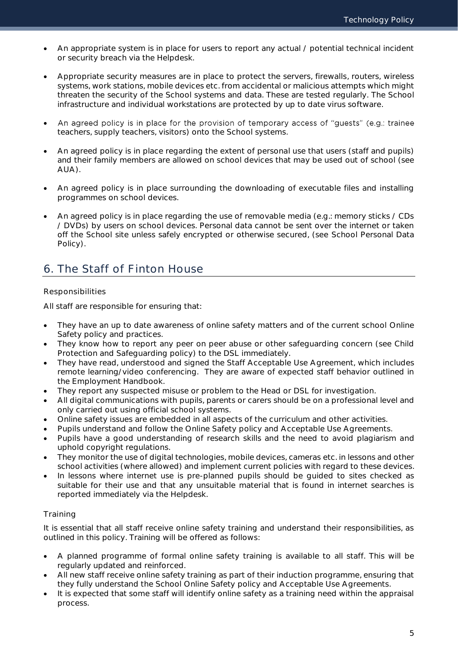- An appropriate system is in place for users to report any actual / potential technical incident or security breach via the Helpdesk.
- Appropriate security measures are in place to protect the servers, firewalls, routers, wireless systems, work stations, mobile devices etc. from accidental or malicious attempts which might threaten the security of the School systems and data. These are tested regularly. The School infrastructure and individual workstations are protected by up to date virus software.
- An agreed policy is in place for the provision of temporary access of "guests" (e.g.: trainee  $\bullet$ teachers, supply teachers, visitors) onto the School systems.
- An agreed policy is in place regarding the extent of personal use that users (staff and pupils) and their family members are allowed on school devices that may be used out of school (see AUA).
- An agreed policy is in place surrounding the downloading of executable files and installing programmes on school devices.
- An agreed policy is in place regarding the use of removable media (e.g.: memory sticks / CDs / DVDs) by users on school devices. Personal data cannot be sent over the internet or taken off the School site unless safely encrypted or otherwise secured, (see School Personal Data Policy).

## <span id="page-5-0"></span>6. The Staff of Finton House

### Responsibilities

All staff are responsible for ensuring that:

- They have an up to date awareness of online safety matters and of the current school Online Safety policy and practices.
- They know how to report any peer on peer abuse or other safeguarding concern (see Child Protection and Safeguarding policy) to the DSL immediately.
- They have read, understood and signed the Staff Acceptable Use Agreement, which includes remote learning/video conferencing. They are aware of expected staff behavior outlined in the Employment Handbook.
- They report any suspected misuse or problem to the Head or DSL for investigation.
- All digital communications with pupils, parents or carers should be on a professional level and only carried out using official school systems.
- Online safety issues are embedded in all aspects of the curriculum and other activities.
- Pupils understand and follow the Online Safety policy and Acceptable Use Agreements.
- Pupils have a good understanding of research skills and the need to avoid plagiarism and uphold copyright regulations.
- They monitor the use of digital technologies, mobile devices, cameras etc. in lessons and other school activities (where allowed) and implement current policies with regard to these devices.
- In lessons where internet use is pre-planned pupils should be guided to sites checked as suitable for their use and that any unsuitable material that is found in internet searches is reported immediately via the Helpdesk.

### **Training**

It is essential that all staff receive online safety training and understand their responsibilities, as outlined in this policy. Training will be offered as follows:

- A planned programme of formal online safety training is available to all staff. This will be regularly updated and reinforced.
- All new staff receive online safety training as part of their induction programme, ensuring that they fully understand the School Online Safety policy and Acceptable Use Agreements.
- It is expected that some staff will identify online safety as a training need within the appraisal process.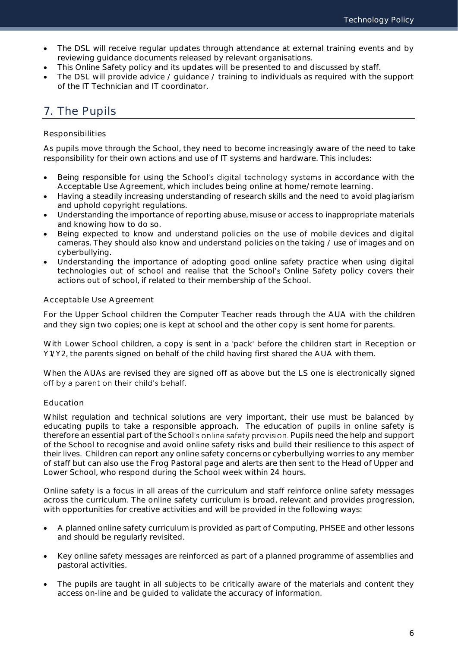- The DSL will receive regular updates through attendance at external training events and by reviewing guidance documents released by relevant organisations.
- This Online Safety policy and its updates will be presented to and discussed by staff.
- The DSL will provide advice / guidance / training to individuals as required with the support of the IT Technician and IT coordinator.

## <span id="page-6-0"></span>7. The Pupils

### Responsibilities

As pupils move through the School, they need to become increasingly aware of the need to take responsibility for their own actions and use of IT systems and hardware. This includes:

- Being responsible for using the School's digital technology systems in accordance with the Acceptable Use Agreement, which includes being online at home/remote learning.
- Having a steadily increasing understanding of research skills and the need to avoid plagiarism and uphold copyright regulations.
- Understanding the importance of reporting abuse, misuse or access to inappropriate materials and knowing how to do so.
- Being expected to know and understand policies on the use of mobile devices and digital cameras. They should also know and understand policies on the taking / use of images and on cyberbullying.
- Understanding the importance of adopting good online safety practice when using digital technologies out of school and realise that the School's Online Safety policy covers their actions out of school, if related to their membership of the School.

### Acceptable Use Agreement

For the Upper School children the Computer Teacher reads through the AUA with the children and they sign two copies; one is kept at school and the other copy is sent home for parents.

With Lower School children, a copy is sent in a 'pack' before the children start in Reception or Y1/Y2, the parents signed on behalf of the child having first shared the AUA with them.

When the AUAs are revised they are signed off as above but the LS one is electronically signed off by a parent on their child's behalf.

### Education

Whilst regulation and technical solutions are very important, their use must be balanced by educating pupils to take a responsible approach. The education of pupils in online safety is therefore an essential part of the School's online safety provision. Pupils need the help and support of the School to recognise and avoid online safety risks and build their resilience to this aspect of their lives. Children can report any online safety concerns or cyberbullying worries to any member of staff but can also use the Frog Pastoral page and alerts are then sent to the Head of Upper and Lower School, who respond during the School week within 24 hours.

Online safety is a focus in all areas of the curriculum and staff reinforce online safety messages across the curriculum. The online safety curriculum is broad, relevant and provides progression, with opportunities for creative activities and will be provided in the following ways:

- A planned online safety curriculum is provided as part of Computing, PHSEE and other lessons and should be regularly revisited.
- Key online safety messages are reinforced as part of a planned programme of assemblies and pastoral activities.
- The pupils are taught in all subjects to be critically aware of the materials and content they access on-line and be guided to validate the accuracy of information.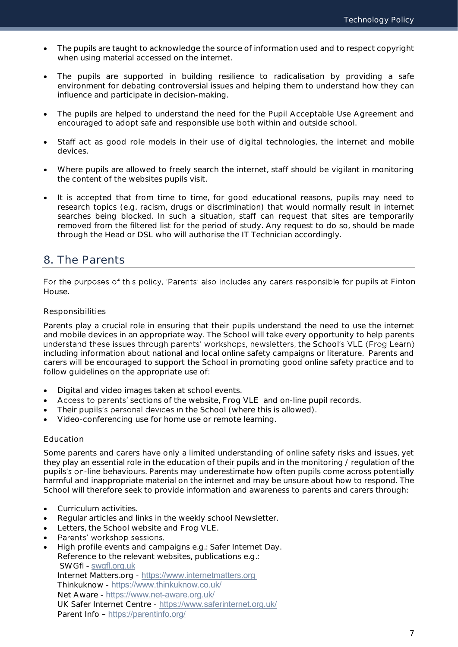- The pupils are taught to acknowledge the source of information used and to respect copyright when using material accessed on the internet.
- The pupils are supported in building resilience to radicalisation by providing a safe environment for debating controversial issues and helping them to understand how they can influence and participate in decision-making.
- The pupils are helped to understand the need for the Pupil Acceptable Use Agreement and encouraged to adopt safe and responsible use both within and outside school.
- Staff act as good role models in their use of digital technologies, the internet and mobile devices.
- Where pupils are allowed to freely search the internet, staff should be vigilant in monitoring the content of the websites pupils visit.
- It is accepted that from time to time, for good educational reasons, pupils may need to research topics (e.g. racism, drugs or discrimination) that would normally result in internet searches being blocked. In such a situation, staff can request that sites are temporarily removed from the filtered list for the period of study. Any request to do so, should be made through the Head or DSL who will authorise the IT Technician accordingly.

## <span id="page-7-0"></span>8. The Parents

For the purposes of this policy, 'Parents' also includes any carers responsible for pupils at Finton House.

### Responsibilities

Parents play a crucial role in ensuring that their pupils understand the need to use the internet and mobile devices in an appropriate way. The School will take every opportunity to help parents understand these issues through parents' workshops, newsletters, the School's VLE (Frog Learn) including information about national and local online safety campaigns or literature. Parents and carers will be encouraged to support the School in promoting good online safety practice and to follow guidelines on the appropriate use of:

- Digital and video images taken at school events.
- Access to parents' sections of the website, Frog VLE and on-line pupil records.
- Their pupils's personal devices in the School (where this is allowed).
- Video-conferencing use for home use or remote learning.

### Education

Some parents and carers have only a limited understanding of online safety risks and issues, yet they play an essential role in the education of their pupils and in the monitoring / regulation of the pupils's on-line behaviours. Parents may underestimate how often pupils come across potentially harmful and inappropriate material on the internet and may be unsure about how to respond. The School will therefore seek to provide information and awareness to parents and carers through:

- Curriculum activities.
- Regular articles and links in the weekly school Newsletter.
- Letters, the School website and Frog VLE.
- Parents' workshop sessions.  $\bullet$
- High profile events and campaigns e.g.: Safer Internet Day. Reference to the relevant websites, publications e.g.: SWGfl - [swgfl.org.uk](http://swgfl.org.uk/)  Internet Matters.org - [https://www.internetmatters.org](https://www.internetmatters.org/) Thinkuknow - <https://www.thinkuknow.co.uk/> Net Aware - <https://www.net-aware.org.uk/> UK Safer Internet Centre - <https://www.saferinternet.org.uk/> Parent Info - <https://parentinfo.org/>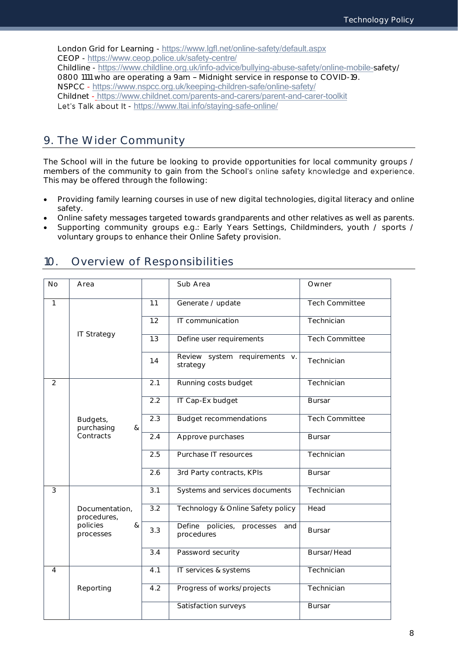London Grid for Learning - <https://www.lgfl.net/online-safety/default.aspx> CEOP - <https://www.ceop.police.uk/safety-centre/> Childline - [https://www.childline.org.uk/info-advice/bullying-abuse-safety/online-mobile-](https://www.childline.org.uk/info-advice/bullying-abuse-safety/online-mobile-safety/)safety/ 0800 1111 who are operating a 9am - Midnight service in response to COVID-19. NSPCC - <https://www.nspcc.org.uk/keeping-children-safe/online-safety/> Childnet - <https://www.childnet.com/parents-and-carers/parent-and-carer-toolkit> Let's Talk about It - <https://www.ltai.info/staying-safe-online/>

### <span id="page-8-0"></span>9. The Wider Community

The School will in the future be looking to provide opportunities for local community groups / members of the community to gain from the School's online safety knowledge and experience. This may be offered through the following:

- Providing family learning courses in use of new digital technologies, digital literacy and online safety.
- Online safety messages targeted towards grandparents and other relatives as well as parents.
- Supporting community groups e.g.: Early Years Settings, Childminders, youth / sports / voluntary groups to enhance their Online Safety provision.

| No             | Area                          |                  | Sub Area                                        | Owner                 |
|----------------|-------------------------------|------------------|-------------------------------------------------|-----------------------|
| $\mathbf{1}$   |                               | 1.1              | Generate / update                               | Tech Committee        |
|                |                               | 1.2              | IT communication                                | Technician            |
|                | <b>IT Strategy</b>            | $\overline{1.3}$ | Define user requirements                        | <b>Tech Committee</b> |
|                |                               | 1.4              | Review system requirements v.<br>strategy       | Technician            |
| $\overline{2}$ |                               | 2.1              | Running costs budget                            | Technician            |
|                |                               | 2.2              | IT Cap-Ex budget                                | <b>Bursar</b>         |
|                | Budgets,<br>purchasing<br>&   | 2.3              | <b>Budget recommendations</b>                   | <b>Tech Committee</b> |
|                | Contracts                     | 2.4              | Approve purchases                               | <b>Bursar</b>         |
|                |                               | 2.5              | Purchase IT resources                           | Technician            |
|                |                               | 2.6              | 3rd Party contracts, KPIs                       | <b>Bursar</b>         |
| $\overline{3}$ |                               | $\overline{3.1}$ | Systems and services documents                  | Technician            |
|                | Documentation,<br>procedures, | $\overline{3.2}$ | Technology & Online Safety policy               | Head                  |
|                | policies<br>&<br>processes    | 3.3              | Define policies, processes<br>and<br>procedures | <b>Bursar</b>         |
|                |                               | 3.4              | Password security                               | Bursar/Head           |
| $\overline{4}$ |                               | 4.1              | IT services & systems                           | Technician            |
|                | Reporting                     | $\overline{4.2}$ | Progress of works/projects                      | Technician            |
|                |                               |                  | Satisfaction surveys                            | <b>Bursar</b>         |

## <span id="page-8-1"></span>10. Overview of Responsibilities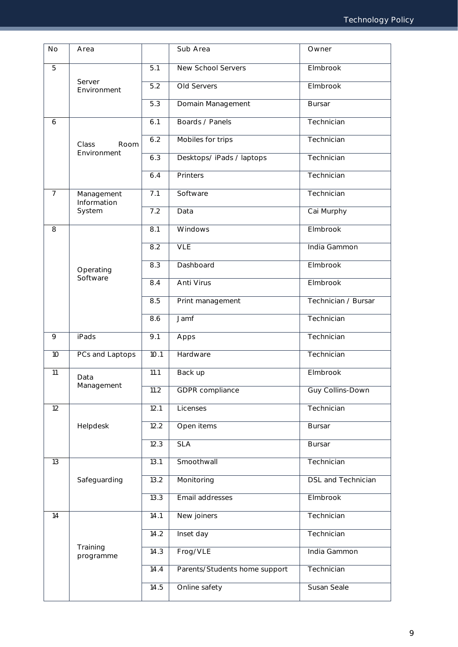| <b>No</b>      | Area                      |                   | Sub Area                      | Owner               |
|----------------|---------------------------|-------------------|-------------------------------|---------------------|
| 5              |                           | 5.1               | New School Servers            | Elmbrook            |
|                | Server<br>Environment     | 5.2               | Old Servers                   | Elmbrook            |
|                |                           | 5.3               | Domain Management             | <b>Bursar</b>       |
| 6              |                           | 6.1               | Boards / Panels               | Technician          |
|                | Class<br>Room             | 6.2               | Mobiles for trips             | Technician          |
|                | Environment               | 6.3               | Desktops/iPads/laptops        | Technician          |
|                |                           | 6.4               | Printers                      | Technician          |
| $\overline{7}$ | Management<br>Information | 7.1               | Software                      | Technician          |
|                | System                    | 7.2               | Data                          | Cai Murphy          |
| 8              |                           | $\overline{8.1}$  | Windows                       | <b>Elmbrook</b>     |
|                |                           | 8.2               | VLE                           | India Gammon        |
|                | Operating<br>Software     |                   | Dashboard                     | Elmbrook            |
|                |                           |                   | Anti Virus                    | Elmbrook            |
|                |                           |                   | Print management              | Technician / Bursar |
|                |                           | 8.6               | Jamf                          | Technician          |
| 9              | <b>iPads</b>              | $\overline{9.1}$  | Apps                          | Technician          |
| 10             | PCs and Laptops           | 10.1              | Hardware                      | Technician          |
| 11             | Data                      | $\overline{1}1.1$ | Back up                       | Elmbrook            |
|                | Management                | $\overline{1}1.2$ | GDPR compliance               | Guy Collins-Down    |
| 12             |                           | 12.1              | Licenses                      | Technician          |
|                | Helpdesk                  | 12.2              | Open items                    | <b>Bursar</b>       |
|                |                           | 12.3              | <b>SLA</b>                    | <b>Bursar</b>       |
| 13             |                           | 13.1              | Smoothwall                    | Technician          |
|                | Safeguarding              | 13.2              | Monitoring                    | DSL and Technician  |
|                |                           | 13.3              | Email addresses               | Elmbrook            |
| 14             |                           | 14.1              | New joiners                   | Technician          |
|                |                           | 14.2              | Inset day                     | Technician          |
|                | Training<br>programme     | 14.3              | Frog/VLE                      | India Gammon        |
|                |                           | 14.4              | Parents/Students home support | Technician          |
|                |                           | 14.5              | Online safety                 | Susan Seale         |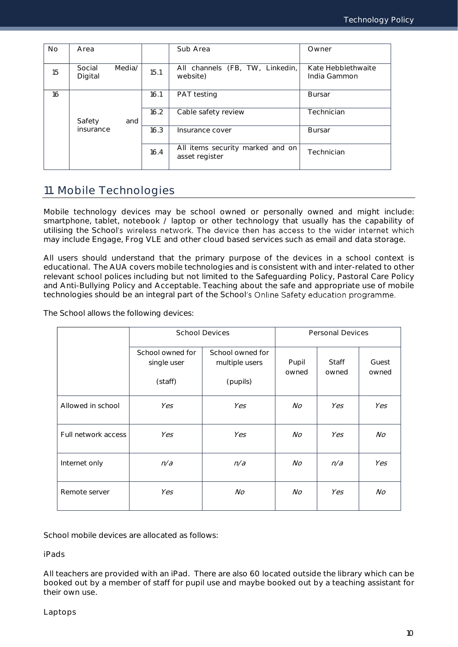| <b>No</b> | Area              |                         |      | Sub Area                                           | Owner                              |
|-----------|-------------------|-------------------------|------|----------------------------------------------------|------------------------------------|
| 15        | Social<br>Digital | Media/                  | 15.1 | All channels (FB, TW, Linkedin,<br>website)        | Kate Hebblethwaite<br>India Gammon |
| 16        |                   |                         | 16.1 | <b>PAT</b> testing                                 | <b>Bursar</b>                      |
|           | Safety            | and                     | 16.2 | Cable safety review                                | Technician                         |
|           | insurance         | 16.3<br>Insurance cover |      | <b>Bursar</b>                                      |                                    |
|           |                   |                         | 16.4 | All items security marked and on<br>asset register | Technician                         |

## <span id="page-10-0"></span>11. Mobile Technologies

Mobile technology devices may be school owned or personally owned and might include: smartphone, tablet, notebook / laptop or other technology that usually has the capability of utilising the School's wireless network. The device then has access to the wider internet which may include Engage, Frog VLE and other cloud based services such as email and data storage.

All users should understand that the primary purpose of the devices in a school context is educational. The AUA covers mobile technologies and is consistent with and inter-related to other relevant school polices including but not limited to the Safeguarding Policy, Pastoral Care Policy and Anti-Bullying Policy and Acceptable. Teaching about the safe and appropriate use of mobile technologies should be an integral part of the School's Online Safety education programme.

The School allows the following devices:

|                     |                                            | <b>School Devices</b>                          | Personal Devices |                       |                |  |  |
|---------------------|--------------------------------------------|------------------------------------------------|------------------|-----------------------|----------------|--|--|
|                     | School owned for<br>single user<br>(staff) | School owned for<br>multiple users<br>(pupils) | Pupil<br>owned   | <b>Staff</b><br>owned | Guest<br>owned |  |  |
| Allowed in school   | Yes                                        | Yes                                            | No               | Yes                   | Yes            |  |  |
| Full network access | Yes                                        | Yes                                            | No               | Yes                   | No.            |  |  |
| Internet only       | n/a                                        | n/a                                            | $N_O$            | n/a                   | Yes            |  |  |
| Remote server       | Yes                                        | No                                             | No               | Yes                   | No             |  |  |

School mobile devices are allocated as follows:

iPads

All teachers are provided with an iPad. There are also 60 located outside the library which can be booked out by a member of staff for pupil use and maybe booked out by a teaching assistant for their own use.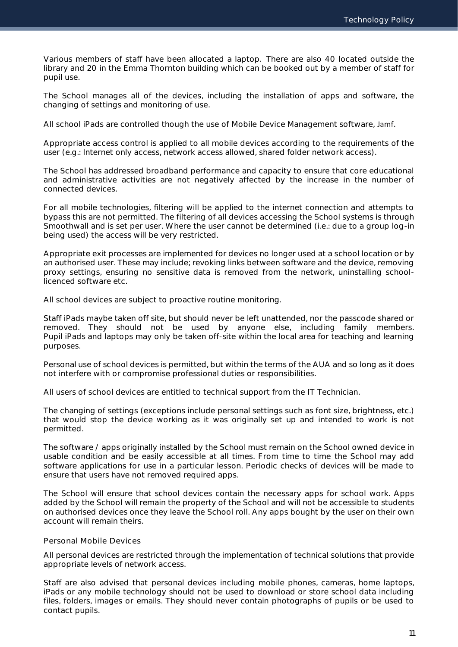Various members of staff have been allocated a laptop. There are also 40 located outside the library and 20 in the Emma Thornton building which can be booked out by a member of staff for pupil use.

The School manages all of the devices, including the installation of apps and software, the changing of settings and monitoring of use.

All school iPads are controlled though the use of Mobile Device Management software, Jamf.

Appropriate access control is applied to all mobile devices according to the requirements of the user (e.g.: Internet only access, network access allowed, shared folder network access).

The School has addressed broadband performance and capacity to ensure that core educational and administrative activities are not negatively affected by the increase in the number of connected devices.

For all mobile technologies, filtering will be applied to the internet connection and attempts to bypass this are not permitted. The filtering of all devices accessing the School systems is through Smoothwall and is set per user. Where the user cannot be determined (i.e.: due to a group log-in being used) the access will be very restricted.

Appropriate exit processes are implemented for devices no longer used at a school location or by an authorised user. These may include; revoking links between software and the device, removing proxy settings, ensuring no sensitive data is removed from the network, uninstalling schoollicenced software etc.

All school devices are subject to proactive routine monitoring.

Staff iPads maybe taken off site, but should never be left unattended, nor the passcode shared or removed. They should not be used by anyone else, including family members. Pupil iPads and laptops may only be taken off-site within the local area for teaching and learning purposes.

Personal use of school devices is permitted, but within the terms of the AUA and so long as it does not interfere with or compromise professional duties or responsibilities.

All users of school devices are entitled to technical support from the IT Technician.

The changing of settings (exceptions include personal settings such as font size, brightness, etc.) that would stop the device working as it was originally set up and intended to work is not permitted.

The software / apps originally installed by the School must remain on the School owned device in usable condition and be easily accessible at all times. From time to time the School may add software applications for use in a particular lesson. Periodic checks of devices will be made to ensure that users have not removed required apps.

The School will ensure that school devices contain the necessary apps for school work. Apps added by the School will remain the property of the School and will not be accessible to students on authorised devices once they leave the School roll. Any apps bought by the user on their own account will remain theirs.

### Personal Mobile Devices

All personal devices are restricted through the implementation of technical solutions that provide appropriate levels of network access.

Staff are also advised that personal devices including mobile phones, cameras, home laptops, iPads or any mobile technology should not be used to download or store school data including files, folders, images or emails. They should never contain photographs of pupils or be used to contact pupils.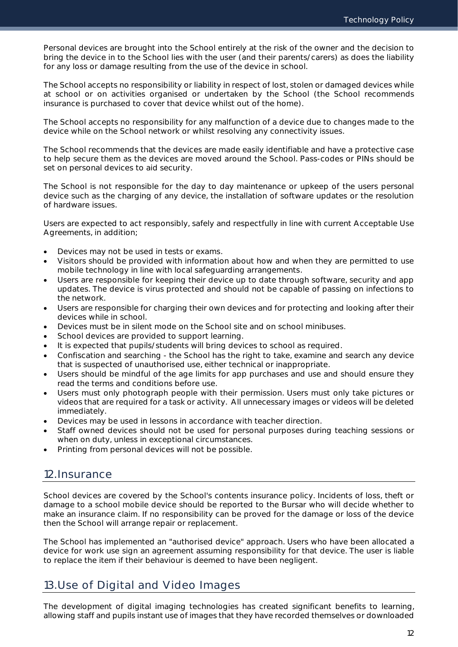Personal devices are brought into the School entirely at the risk of the owner and the decision to bring the device in to the School lies with the user (and their parents/carers) as does the liability for any loss or damage resulting from the use of the device in school.

The School accepts no responsibility or liability in respect of lost, stolen or damaged devices while at school or on activities organised or undertaken by the School (the School recommends insurance is purchased to cover that device whilst out of the home).

The School accepts no responsibility for any malfunction of a device due to changes made to the device while on the School network or whilst resolving any connectivity issues.

The School recommends that the devices are made easily identifiable and have a protective case to help secure them as the devices are moved around the School. Pass-codes or PINs should be set on personal devices to aid security.

The School is not responsible for the day to day maintenance or upkeep of the users personal device such as the charging of any device, the installation of software updates or the resolution of hardware issues.

Users are expected to act responsibly, safely and respectfully in line with current Acceptable Use Agreements, in addition;

- Devices may not be used in tests or exams.
- Visitors should be provided with information about how and when they are permitted to use mobile technology in line with local safeguarding arrangements.
- Users are responsible for keeping their device up to date through software, security and app updates. The device is virus protected and should not be capable of passing on infections to the network.
- Users are responsible for charging their own devices and for protecting and looking after their devices while in school.
- Devices must be in silent mode on the School site and on school minibuses.
- School devices are provided to support learning.
- It is expected that pupils/students will bring devices to school as required.
- Confiscation and searching the School has the right to take, examine and search any device that is suspected of unauthorised use, either technical or inappropriate.
- Users should be mindful of the age limits for app purchases and use and should ensure they read the terms and conditions before use.
- Users must only photograph people with their permission. Users must only take pictures or videos that are required for a task or activity. All unnecessary images or videos will be deleted immediately.
- Devices may be used in lessons in accordance with teacher direction.
- Staff owned devices should not be used for personal purposes during teaching sessions or when on duty, unless in exceptional circumstances.
- Printing from personal devices will not be possible.

### <span id="page-12-0"></span>12.Insurance

School devices are covered by the School's contents insurance policy. Incidents of loss, theft or damage to a school mobile device should be reported to the Bursar who will decide whether to make an insurance claim. If no responsibility can be proved for the damage or loss of the device then the School will arrange repair or replacement.

The School has implemented an "authorised device" approach. Users who have been allocated a device for work use sign an agreement assuming responsibility for that device. The user is liable to replace the item if their behaviour is deemed to have been negligent.

## <span id="page-12-1"></span>13.Use of Digital and Video Images

The development of digital imaging technologies has created significant benefits to learning, allowing staff and pupils instant use of images that they have recorded themselves or downloaded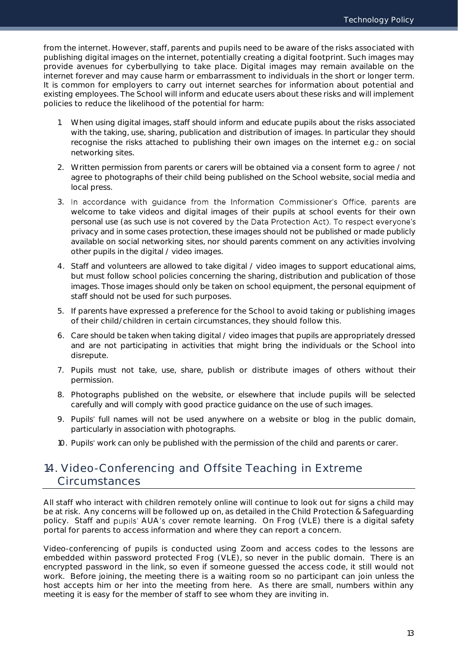from the internet. However, staff, parents and pupils need to be aware of the risks associated with publishing digital images on the internet, potentially creating a digital footprint. Such images may provide avenues for cyberbullying to take place. Digital images may remain available on the internet forever and may cause harm or embarrassment to individuals in the short or longer term. It is common for employers to carry out internet searches for information about potential and existing employees. The School will inform and educate users about these risks and will implement policies to reduce the likelihood of the potential for harm:

- 1. When using digital images, staff should inform and educate pupils about the risks associated with the taking, use, sharing, publication and distribution of images. In particular they should recognise the risks attached to publishing their own images on the internet e.g.: on social networking sites.
- 2. Written permission from parents or carers will be obtained via a consent form to agree / not agree to photographs of their child being published on the School website, social media and local press.
- 3. In accordance with guidance from the Information Commissioner's Office, parents are welcome to take videos and digital images of their pupils at school events for their own personal use (as such use is not covered by the Data Protection Act). To respect everyone's privacy and in some cases protection, these images should not be published or made publicly available on social networking sites, nor should parents comment on any activities involving other pupils in the digital / video images.
- 4. Staff and volunteers are allowed to take digital / video images to support educational aims, but must follow school policies concerning the sharing, distribution and publication of those images. Those images should only be taken on school equipment, the personal equipment of staff should not be used for such purposes.
- 5. If parents have expressed a preference for the School to avoid taking or publishing images of their child/children in certain circumstances, they should follow this.
- 6. Care should be taken when taking digital / video images that pupils are appropriately dressed and are not participating in activities that might bring the individuals or the School into disrepute.
- 7. Pupils must not take, use, share, publish or distribute images of others without their permission.
- 8. Photographs published on the website, or elsewhere that include pupils will be selected carefully and will comply with good practice guidance on the use of such images.
- 9. Pupils' full names will not be used anywhere on a website or blog in the public domain, particularly in association with photographs.
- <span id="page-13-0"></span>10. Pupils' work can only be published with the permission of the child and parents or carer.

## 14. Video-Conferencing and Offsite Teaching in Extreme **Circumstances**

All staff who interact with children remotely online will continue to look out for signs a child may be at risk. Any concerns will be followed up on, as detailed in the Child Protection & Safeguarding policy. Staff and pupils' AUA's cover remote learning. On Frog (VLE) there is a digital safety portal for parents to access information and where they can report a concern.

Video-conferencing of pupils is conducted using Zoom and access codes to the lessons are embedded within password protected Frog (VLE), so never in the public domain. There is an encrypted password in the link, so even if someone guessed the access code, it still would not work. Before joining, the meeting there is a waiting room so no participant can join unless the host accepts him or her into the meeting from here. As there are small, numbers within any meeting it is easy for the member of staff to see whom they are inviting in.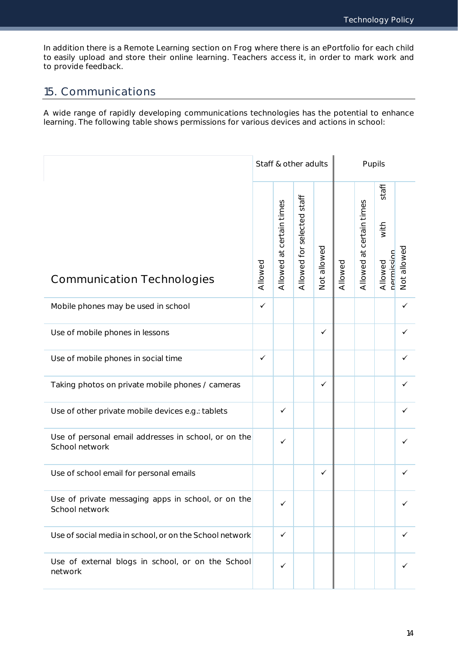In addition there is a Remote Learning section on Frog where there is an ePortfolio for each child to easily upload and store their online learning. Teachers access it, in order to mark work and to provide feedback.

## <span id="page-14-0"></span>15. Communications

A wide range of rapidly developing communications technologies has the potential to enhance learning. The following table shows permissions for various devices and actions in school:

|                                                                        | Staff & other adults |                          |                            | Pupils       |         |                          |                                        |             |
|------------------------------------------------------------------------|----------------------|--------------------------|----------------------------|--------------|---------|--------------------------|----------------------------------------|-------------|
| <b>Communication Technologies</b>                                      | Allowed              | Allowed at certain times | Allowed for selected staff | Not allowed  | Allowed | Allowed at certain times | staff<br>with<br>nermission<br>Allowed | Not allowed |
| Mobile phones may be used in school                                    | $\checkmark$         |                          |                            |              |         |                          |                                        | ✓           |
| Use of mobile phones in lessons                                        |                      |                          |                            | $\checkmark$ |         |                          |                                        | ✓           |
| Use of mobile phones in social time                                    | $\checkmark$         |                          |                            |              |         |                          |                                        | ✓           |
| Taking photos on private mobile phones / cameras                       |                      |                          |                            | $\checkmark$ |         |                          |                                        | ✓           |
| Use of other private mobile devices e.g.: tablets                      |                      | $\checkmark$             |                            |              |         |                          |                                        | ✓           |
| Use of personal email addresses in school, or on the<br>School network |                      | $\checkmark$             |                            |              |         |                          |                                        | ✓           |
| Use of school email for personal emails                                |                      |                          |                            | $\checkmark$ |         |                          |                                        | ✓           |
| Use of private messaging apps in school, or on the<br>School network   |                      | $\checkmark$             |                            |              |         |                          |                                        | ✓           |
| Use of social media in school, or on the School network                |                      | $\checkmark$             |                            |              |         |                          |                                        | ✓           |
| Use of external blogs in school, or on the School<br>network           |                      | ✓                        |                            |              |         |                          |                                        | ✓           |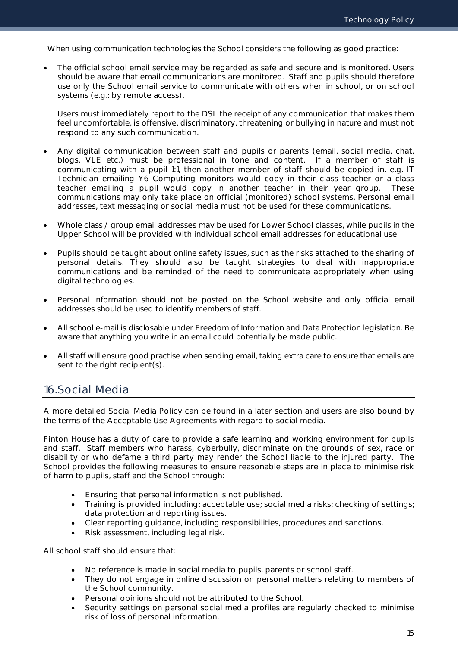When using communication technologies the School considers the following as good practice:

 The official school email service may be regarded as safe and secure and is monitored. Users should be aware that email communications are monitored. Staff and pupils should therefore use only the School email service to communicate with others when in school, or on school systems (e.g.: by remote access).

Users must immediately report to the DSL the receipt of any communication that makes them feel uncomfortable, is offensive, discriminatory, threatening or bullying in nature and must not respond to any such communication.

- Any digital communication between staff and pupils or parents (email, social media, chat, blogs, VLE etc.) must be professional in tone and content. If a member of staff is communicating with a pupil 1:1, then another member of staff should be copied in. e.g. IT Technician emailing Y6 Computing monitors would copy in their class teacher or a class teacher emailing a pupil would copy in another teacher in their year group. These communications may only take place on official (monitored) school systems. Personal email addresses, text messaging or social media must not be used for these communications.
- Whole class / group email addresses may be used for Lower School classes, while pupils in the Upper School will be provided with individual school email addresses for educational use.
- Pupils should be taught about online safety issues, such as the risks attached to the sharing of personal details. They should also be taught strategies to deal with inappropriate communications and be reminded of the need to communicate appropriately when using digital technologies.
- Personal information should not be posted on the School website and only official email addresses should be used to identify members of staff.
- All school e-mail is disclosable under Freedom of Information and Data Protection legislation. Be aware that anything you write in an email could potentially be made public.
- All staff will ensure good practise when sending email, taking extra care to ensure that emails are sent to the right recipient(s).

## <span id="page-15-0"></span>16.Social Media

A more detailed Social Media Policy can be found in a later section and users are also bound by the terms of the Acceptable Use Agreements with regard to social media.

Finton House has a duty of care to provide a safe learning and working environment for pupils and staff. Staff members who harass, cyberbully, discriminate on the grounds of sex, race or disability or who defame a third party may render the School liable to the injured party. The School provides the following measures to ensure reasonable steps are in place to minimise risk of harm to pupils, staff and the School through:

- Ensuring that personal information is not published.
- Training is provided including: acceptable use; social media risks; checking of settings; data protection and reporting issues.
- Clear reporting guidance, including responsibilities, procedures and sanctions.
- Risk assessment, including legal risk.

All school staff should ensure that:

- No reference is made in social media to pupils, parents or school staff.
- They do not engage in online discussion on personal matters relating to members of the School community.
- Personal opinions should not be attributed to the School.
- Security settings on personal social media profiles are regularly checked to minimise risk of loss of personal information.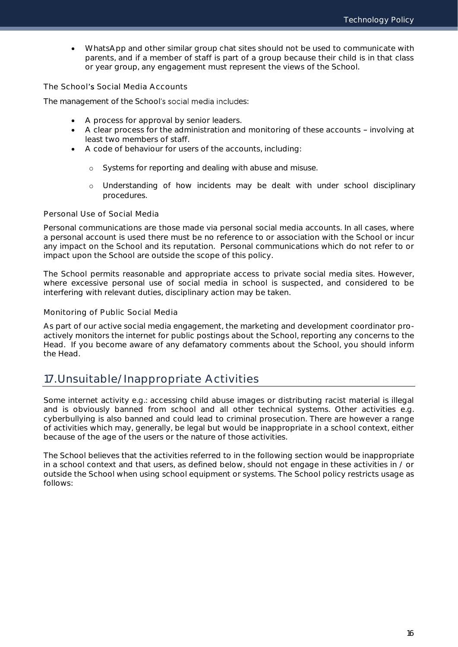WhatsApp and other similar group chat sites should not be used to communicate with parents, and if a member of staff is part of a group because their child is in that class or year group, any engagement must represent the views of the School.

The School's Social Media Accounts

The management of the School's social media includes:

- A process for approval by senior leaders.
- A clear process for the administration and monitoring of these accounts involving at least two members of staff.
- A code of behaviour for users of the accounts, including:
	- Systems for reporting and dealing with abuse and misuse.
	- o Understanding of how incidents may be dealt with under school disciplinary procedures.

### Personal Use of Social Media

Personal communications are those made via personal social media accounts. In all cases, where a personal account is used there must be no reference to or association with the School or incur any impact on the School and its reputation. Personal communications which do not refer to or impact upon the School are outside the scope of this policy.

The School permits reasonable and appropriate access to private social media sites. However, where excessive personal use of social media in school is suspected, and considered to be interfering with relevant duties, disciplinary action may be taken.

### Monitoring of Public Social Media

As part of our active social media engagement, the marketing and development coordinator proactively monitors the internet for public postings about the School, reporting any concerns to the Head. If you become aware of any defamatory comments about the School, you should inform the Head.

## <span id="page-16-0"></span>17.Unsuitable/Inappropriate Activities

Some internet activity e.g.: accessing child abuse images or distributing racist material is illegal and is obviously banned from school and all other technical systems. Other activities e.g. cyberbullying is also banned and could lead to criminal prosecution. There are however a range of activities which may, generally, be legal but would be inappropriate in a school context, either because of the age of the users or the nature of those activities.

The School believes that the activities referred to in the following section would be inappropriate in a school context and that users, as defined below, should not engage in these activities in / or outside the School when using school equipment or systems. The School policy restricts usage as follows: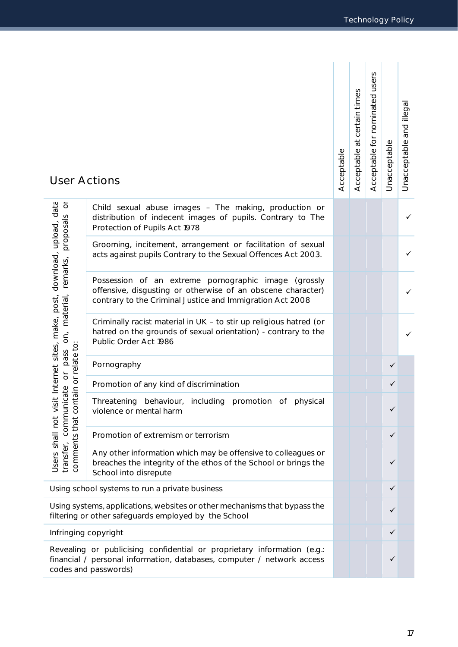| <b>User Actions</b>                                                                                                               |                                                                                                                                                                                      | Acceptable | certain times<br>$\vec{B}$<br>Acceptable | Acceptable for nominated users | Unacceptable | Unacceptable and illegal |
|-----------------------------------------------------------------------------------------------------------------------------------|--------------------------------------------------------------------------------------------------------------------------------------------------------------------------------------|------------|------------------------------------------|--------------------------------|--------------|--------------------------|
| ð<br>proposals                                                                                                                    | Child sexual abuse images - The making, production or<br>distribution of indecent images of pupils. Contrary to The<br>Protection of Pupils Act 1978                                 |            |                                          |                                |              |                          |
|                                                                                                                                   | Grooming, incitement, arrangement or facilitation of sexual<br>acts against pupils Contrary to the Sexual Offences Act 2003.                                                         |            |                                          |                                |              |                          |
| t Internet sites, make, post, download, upload, data<br>remarks,<br>material                                                      | Possession of an extreme pornographic image<br>(grossly)<br>offensive, disgusting or otherwise of an obscene character)<br>contrary to the Criminal Justice and Immigration Act 2008 |            |                                          |                                |              |                          |
| δ,                                                                                                                                | Criminally racist material in UK - to stir up religious hatred (or<br>hatred on the grounds of sexual orientation) - contrary to the<br>Public Order Act 1986                        |            |                                          |                                |              |                          |
| or relate to<br>pass                                                                                                              | Pornography                                                                                                                                                                          |            |                                          |                                | ✓            |                          |
| $\overleftarrow{O}$                                                                                                               | Promotion of any kind of discrimination                                                                                                                                              |            |                                          |                                | ✓            |                          |
| communicate<br>nie1                                                                                                               | Threatening behaviour, including promotion of physical<br>violence or mental harm                                                                                                    |            |                                          |                                | ✓            |                          |
|                                                                                                                                   | Promotion of extremism or terrorism                                                                                                                                                  |            |                                          |                                | ✓            |                          |
| comments that con<br>Users shall not visi<br>transfer,                                                                            | Any other information which may be offensive to colleagues or<br>breaches the integrity of the ethos of the School or brings the<br>School into disrepute                            |            |                                          |                                | ✓            |                          |
| Using school systems to run a private business                                                                                    |                                                                                                                                                                                      |            |                                          |                                | ✓            |                          |
| Using systems, applications, websites or other mechanisms that bypass the<br>filtering or other safeguards employed by the School |                                                                                                                                                                                      |            |                                          | ✓                              |              |                          |
| Infringing copyright                                                                                                              |                                                                                                                                                                                      |            |                                          |                                | ✓            |                          |
|                                                                                                                                   | Revealing or publicising confidential or proprietary information (e.g.:<br>financial / personal information, databases, computer / network access<br>codes and passwords)            |            |                                          |                                | ✓            |                          |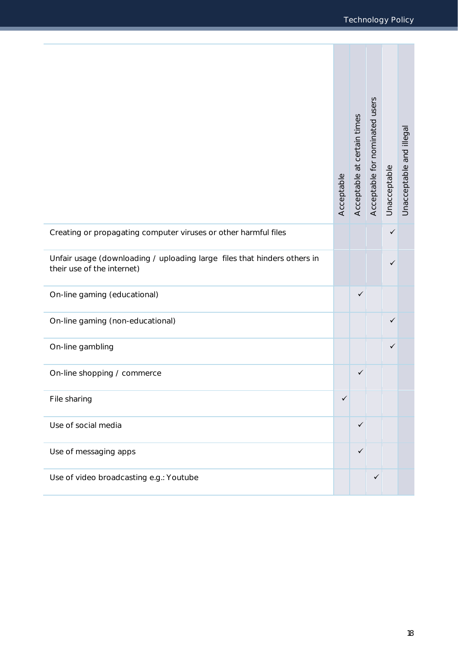e.

|                                                                                                        | Acceptable | Acceptable at certain times | Acceptable for nominated users | Unacceptable | Unacceptable and illegal |
|--------------------------------------------------------------------------------------------------------|------------|-----------------------------|--------------------------------|--------------|--------------------------|
| Creating or propagating computer viruses or other harmful files                                        |            |                             |                                | $\checkmark$ |                          |
| Unfair usage (downloading / uploading large files that hinders others in<br>their use of the internet) |            |                             |                                | ✓            |                          |
| On-line gaming (educational)                                                                           |            | ✓                           |                                |              |                          |
| On-line gaming (non-educational)                                                                       |            |                             |                                | ✓            |                          |
| On-line gambling                                                                                       |            |                             |                                | ✓            |                          |
| On-line shopping / commerce                                                                            |            | ✓                           |                                |              |                          |
| File sharing                                                                                           | ✓          |                             |                                |              |                          |
| Use of social media                                                                                    |            | $\checkmark$                |                                |              |                          |
| Use of messaging apps                                                                                  |            | $\checkmark$                |                                |              |                          |
| Use of video broadcasting e.g.: Youtube                                                                |            |                             | ✓                              |              |                          |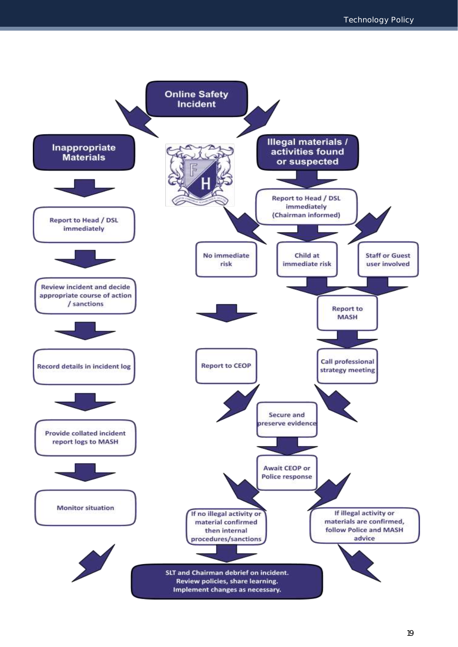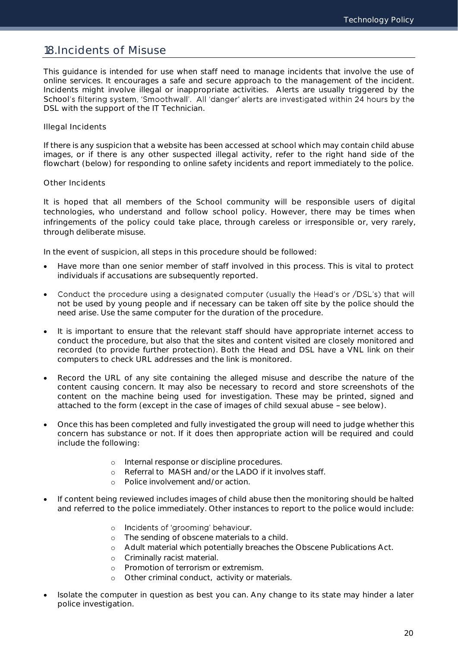## <span id="page-20-0"></span>18.Incidents of Misuse

This guidance is intended for use when staff need to manage incidents that involve the use of online services. It encourages a safe and secure approach to the management of the incident. Incidents might involve illegal or inappropriate activities. Alerts are usually triggered by the School's filtering system, 'Smoothwall'. All 'danger' alerts are investigated within 24 hours by the DSL with the support of the IT Technician.

### Illegal Incidents

If there is any suspicion that a website has been accessed at school which may contain child abuse images, or if there is any other suspected illegal activity, refer to the right hand side of the flowchart (below) for responding to online safety incidents and report immediately to the police.

### Other Incidents

It is hoped that all members of the School community will be responsible users of digital technologies, who understand and follow school policy. However, there may be times when infringements of the policy could take place, through careless or irresponsible or, very rarely, through deliberate misuse.

In the event of suspicion, all steps in this procedure should be followed:

- Have more than one senior member of staff involved in this process. This is vital to protect individuals if accusations are subsequently reported.
- Conduct the procedure using a designated computer (usually the Head's or /DSL's) that will  $\bullet$ not be used by young people and if necessary can be taken off site by the police should the need arise. Use the same computer for the duration of the procedure.
- It is important to ensure that the relevant staff should have appropriate internet access to conduct the procedure, but also that the sites and content visited are closely monitored and recorded (to provide further protection). Both the Head and DSL have a VNL link on their computers to check URL addresses and the link is monitored.
- Record the URL of any site containing the alleged misuse and describe the nature of the content causing concern. It may also be necessary to record and store screenshots of the content on the machine being used for investigation. These may be printed, signed and attached to the form (except in the case of images of child sexual abuse  $-$  see below).
- Once this has been completed and fully investigated the group will need to judge whether this concern has substance or not. If it does then appropriate action will be required and could include the following:
	- o Internal response or discipline procedures.
	- o Referral to MASH and/or the LADO if it involves staff.
	- o Police involvement and/or action.
- If content being reviewed includes images of child abuse then the monitoring should be halted and referred to the police immediately. Other instances to report to the police would include:
	- o Incidents of 'grooming' behaviour.
	- o The sending of obscene materials to a child.
	- o Adult material which potentially breaches the Obscene Publications Act.
	- o Criminally racist material.
	- o Promotion of terrorism or extremism.
	- o Other criminal conduct, activity or materials.
- Isolate the computer in question as best you can. Any change to its state may hinder a later police investigation.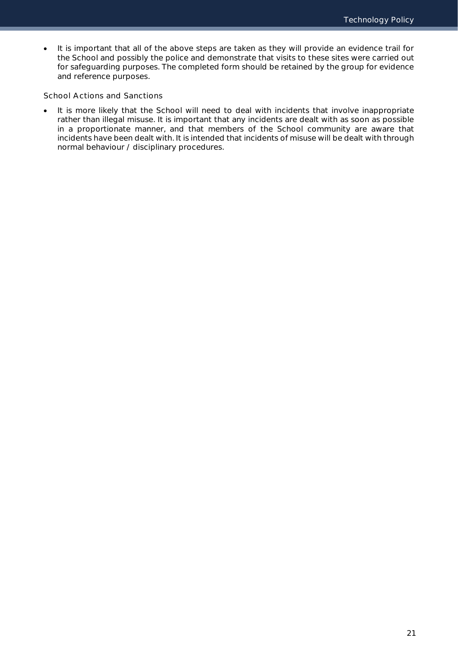It is important that all of the above steps are taken as they will provide an evidence trail for the School and possibly the police and demonstrate that visits to these sites were carried out for safeguarding purposes. The completed form should be retained by the group for evidence and reference purposes.

School Actions and Sanctions

 It is more likely that the School will need to deal with incidents that involve inappropriate rather than illegal misuse. It is important that any incidents are dealt with as soon as possible in a proportionate manner, and that members of the School community are aware that incidents have been dealt with. It is intended that incidents of misuse will be dealt with through normal behaviour / disciplinary procedures.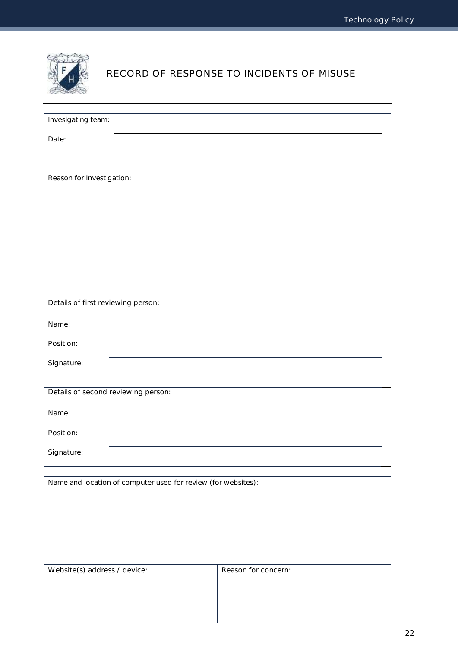

## RECORD OF RESPONSE TO INCIDENTS OF MISUSE

| Invesigating team:                  |                                                               |                     |  |  |  |  |  |
|-------------------------------------|---------------------------------------------------------------|---------------------|--|--|--|--|--|
| Date:                               |                                                               |                     |  |  |  |  |  |
|                                     |                                                               |                     |  |  |  |  |  |
| Reason for Investigation:           |                                                               |                     |  |  |  |  |  |
|                                     |                                                               |                     |  |  |  |  |  |
|                                     |                                                               |                     |  |  |  |  |  |
|                                     |                                                               |                     |  |  |  |  |  |
|                                     |                                                               |                     |  |  |  |  |  |
|                                     |                                                               |                     |  |  |  |  |  |
|                                     |                                                               |                     |  |  |  |  |  |
| Details of first reviewing person:  |                                                               |                     |  |  |  |  |  |
| Name:                               |                                                               |                     |  |  |  |  |  |
| Position:                           |                                                               |                     |  |  |  |  |  |
| Signature:                          |                                                               |                     |  |  |  |  |  |
|                                     |                                                               |                     |  |  |  |  |  |
| Details of second reviewing person: |                                                               |                     |  |  |  |  |  |
| Name:                               |                                                               |                     |  |  |  |  |  |
| Position:                           |                                                               |                     |  |  |  |  |  |
| Signature:                          |                                                               |                     |  |  |  |  |  |
|                                     |                                                               |                     |  |  |  |  |  |
|                                     | Name and location of computer used for review (for websites): |                     |  |  |  |  |  |
|                                     |                                                               |                     |  |  |  |  |  |
|                                     |                                                               |                     |  |  |  |  |  |
|                                     |                                                               |                     |  |  |  |  |  |
| Website(s) address / device:        |                                                               | Reason for concern: |  |  |  |  |  |

| Website(s) address / device: | Reason for concern: |
|------------------------------|---------------------|
|                              |                     |
|                              |                     |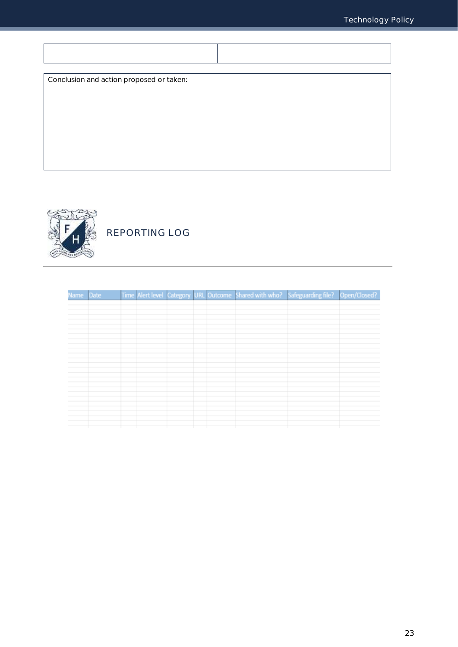$\mathcal{L}$ 

| Conclusion and action proposed or taken: |  |
|------------------------------------------|--|
|                                          |  |
|                                          |  |
|                                          |  |
|                                          |  |
|                                          |  |
|                                          |  |



 $\overline{1}$ 

## REPORTING LOG

| Name Date |  |  |  | Time Alert level Category URL Outcome Shared with who? Safeguarding file? Open/Closed? |  |
|-----------|--|--|--|----------------------------------------------------------------------------------------|--|
|           |  |  |  |                                                                                        |  |
|           |  |  |  |                                                                                        |  |
|           |  |  |  |                                                                                        |  |
|           |  |  |  |                                                                                        |  |
|           |  |  |  |                                                                                        |  |
|           |  |  |  |                                                                                        |  |
|           |  |  |  |                                                                                        |  |
|           |  |  |  |                                                                                        |  |
|           |  |  |  |                                                                                        |  |
|           |  |  |  |                                                                                        |  |
|           |  |  |  |                                                                                        |  |
|           |  |  |  |                                                                                        |  |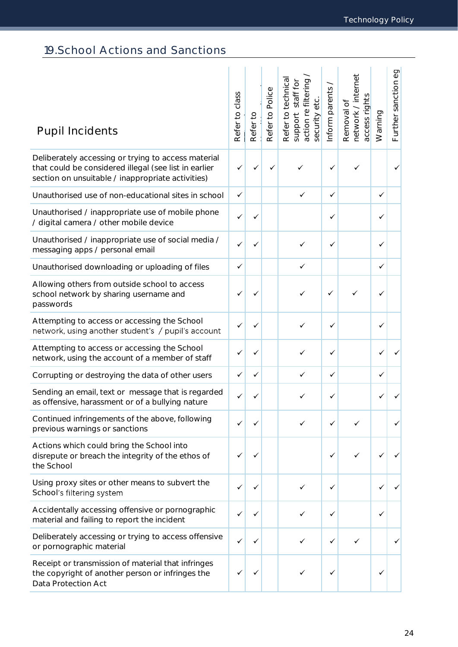## <span id="page-24-0"></span>19.School Actions and Sanctions

| <b>Pupil Incidents</b>                                                                                                                                            | class<br>Refer to | Refer to | Refer to Police | Refer to technica<br>filtering<br>staff for<br>etc.<br>action re<br>security<br>support | nform parents | network / internet<br>access rights<br>Removal of | Warning | Further sanction eg |
|-------------------------------------------------------------------------------------------------------------------------------------------------------------------|-------------------|----------|-----------------|-----------------------------------------------------------------------------------------|---------------|---------------------------------------------------|---------|---------------------|
| Deliberately accessing or trying to access material<br>that could be considered illegal (see list in earlier<br>section on unsuitable / inappropriate activities) | ✓                 |          |                 |                                                                                         | ✓             | ✓                                                 |         |                     |
| Unauthorised use of non-educational sites in school                                                                                                               | ✓                 |          |                 | ✓                                                                                       | ✓             |                                                   | ✓       |                     |
| Unauthorised / inappropriate use of mobile phone<br>/ digital camera / other mobile device                                                                        | ✓                 | ✓        |                 |                                                                                         | ✓             |                                                   | ✓       |                     |
| Unauthorised / inappropriate use of social media /<br>messaging apps / personal email                                                                             | ✓                 | ✓        |                 |                                                                                         | ✓             |                                                   | ✓       |                     |
| Unauthorised downloading or uploading of files                                                                                                                    | ✓                 |          |                 | $\checkmark$                                                                            |               |                                                   | ✓       |                     |
| Allowing others from outside school to access<br>school network by sharing username and<br>passwords                                                              |                   |          |                 | ✓                                                                                       | ✓             |                                                   |         |                     |
| Attempting to access or accessing the School<br>network, using another student's / pupil's account                                                                | ✓                 |          |                 | ✓                                                                                       | ✓             |                                                   | ✓       |                     |
| Attempting to access or accessing the School<br>network, using the account of a member of staff                                                                   |                   | ✓        |                 |                                                                                         | ✓             |                                                   |         |                     |
| Corrupting or destroying the data of other users                                                                                                                  | ✓                 | ✓        |                 | ✓                                                                                       | ✓             |                                                   | ✓       |                     |
| Sending an email, text or message that is regarded<br>as offensive, harassment or of a bullying nature                                                            |                   |          |                 |                                                                                         |               |                                                   |         |                     |
| Continued infringements of the above, following<br>previous warnings or sanctions                                                                                 | ✓                 |          |                 |                                                                                         | ✓             | ✓                                                 |         |                     |
| Actions which could bring the School into<br>disrepute or breach the integrity of the ethos of<br>the School                                                      | ✓                 | ✓        |                 |                                                                                         | ✓             |                                                   |         |                     |
| Using proxy sites or other means to subvert the<br>School's filtering system                                                                                      |                   |          |                 | ✓                                                                                       | ✓             |                                                   |         |                     |
| Accidentally accessing offensive or pornographic<br>material and failing to report the incident                                                                   |                   | ✓        |                 | ✓                                                                                       | ✓             |                                                   |         |                     |
| Deliberately accessing or trying to access offensive<br>or pornographic material                                                                                  | ✓                 |          |                 | ✓                                                                                       | ✓             | ✓                                                 |         |                     |
| Receipt or transmission of material that infringes<br>the copyright of another person or infringes the<br>Data Protection Act                                     |                   |          |                 |                                                                                         | ✓             |                                                   |         |                     |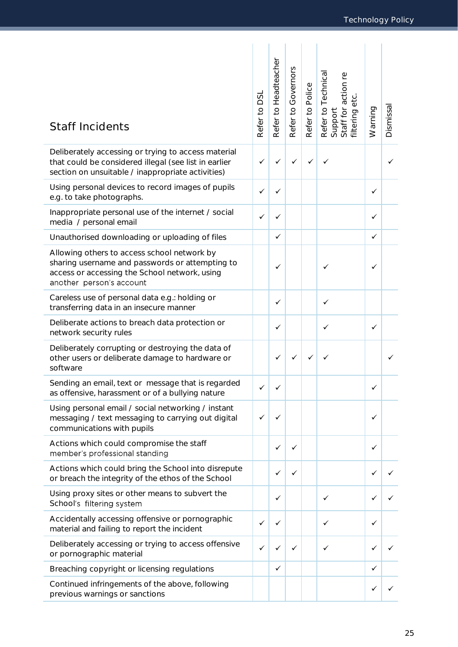| <b>Staff Incidents</b>                                                                                                                                                      | SQ<br>Refer to | Headteacher<br>Refer to | Governors<br>Refer to | Refer to Police | Refer to Technical<br>Support<br>Staff for action re<br>filtering etc. | Warning | Dismissa |
|-----------------------------------------------------------------------------------------------------------------------------------------------------------------------------|----------------|-------------------------|-----------------------|-----------------|------------------------------------------------------------------------|---------|----------|
| Deliberately accessing or trying to access material<br>that could be considered illegal (see list in earlier<br>section on unsuitable / inappropriate activities)           | ✓              |                         |                       | ✓               |                                                                        |         |          |
| Using personal devices to record images of pupils<br>e.g. to take photographs.                                                                                              | ✓              | ✓                       |                       |                 |                                                                        | ✓       |          |
| Inappropriate personal use of the internet / social<br>media / personal email                                                                                               | ✓              | ✓                       |                       |                 |                                                                        | ✓       |          |
| Unauthorised downloading or uploading of files                                                                                                                              |                | ✓                       |                       |                 |                                                                        | ✓       |          |
| Allowing others to access school network by<br>sharing username and passwords or attempting to<br>access or accessing the School network, using<br>another person's account |                | ✓                       |                       |                 |                                                                        | ✓       |          |
| Careless use of personal data e.g.: holding or<br>transferring data in an insecure manner                                                                                   |                | ✓                       |                       |                 | ✓                                                                      |         |          |
| Deliberate actions to breach data protection or<br>network security rules                                                                                                   |                | ✓                       |                       |                 | ✓                                                                      | ✓       |          |
| Deliberately corrupting or destroying the data of<br>other users or deliberate damage to hardware or<br>software                                                            |                | ✓                       |                       |                 |                                                                        |         |          |
| Sending an email, text or message that is regarded<br>as offensive, harassment or of a bullying nature                                                                      |                |                         |                       |                 |                                                                        | ✓       |          |
| Using personal email / social networking / instant<br>messaging / text messaging to carrying out digital<br>communications with pupils                                      | ✓              |                         |                       |                 |                                                                        | ✓       |          |
| Actions which could compromise the staff<br>member's professional standing                                                                                                  |                | ✓                       | ✓                     |                 |                                                                        | ✓       |          |
| Actions which could bring the School into disrepute<br>or breach the integrity of the ethos of the School                                                                   |                | ✓                       | ✓                     |                 |                                                                        | ✓       |          |
| Using proxy sites or other means to subvert the<br>School's filtering system                                                                                                |                | ✓                       |                       |                 | ✓                                                                      |         |          |
| Accidentally accessing offensive or pornographic<br>material and failing to report the incident                                                                             | ✓              | ✓                       |                       |                 | ✓                                                                      | ✓       |          |
| Deliberately accessing or trying to access offensive<br>or pornographic material                                                                                            | $\checkmark$   | ✓                       | ✓                     |                 | ✓                                                                      | ✓       |          |
| Breaching copyright or licensing regulations                                                                                                                                |                | ✓                       |                       |                 |                                                                        | ✓       |          |
| Continued infringements of the above, following<br>previous warnings or sanctions                                                                                           |                |                         |                       |                 |                                                                        | ✓       |          |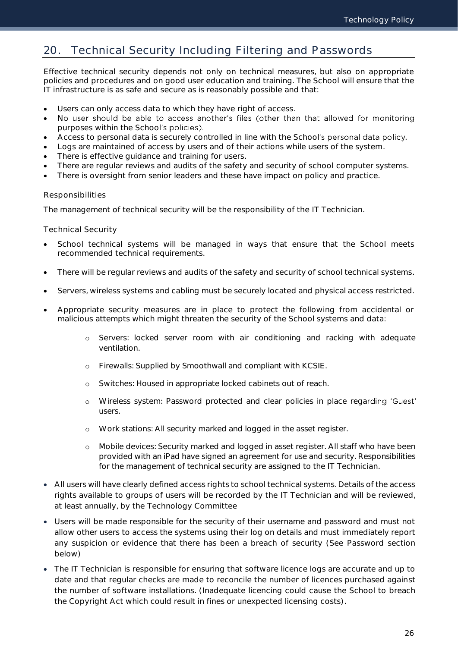## <span id="page-26-0"></span>20. Technical Security Including Filtering and Passwords

Effective technical security depends not only on technical measures, but also on appropriate policies and procedures and on good user education and training. The School will ensure that the IT infrastructure is as safe and secure as is reasonably possible and that:

- Users can only access data to which they have right of access.
- No user should be able to access another's files (other than that allowed for monitoring purposes within the School's policies).
- Access to personal data is securely controlled in line with the School's personal data policy.
- Logs are maintained of access by users and of their actions while users of the system.
- There is effective guidance and training for users.
- There are regular reviews and audits of the safety and security of school computer systems.
- There is oversight from senior leaders and these have impact on policy and practice.

### Responsibilities

The management of technical security will be the responsibility of the IT Technician.

### Technical Security

- School technical systems will be managed in ways that ensure that the School meets recommended technical requirements.
- There will be regular reviews and audits of the safety and security of school technical systems.
- Servers, wireless systems and cabling must be securely located and physical access restricted.
- Appropriate security measures are in place to protect the following from accidental or malicious attempts which might threaten the security of the School systems and data:
	- o Servers: locked server room with air conditioning and racking with adequate ventilation.
	- o Firewalls: Supplied by Smoothwall and compliant with KCSIE.
	- o Switches: Housed in appropriate locked cabinets out of reach.
	- o Wireless system: Password protected and clear policies in place rega users.
	- o Work stations: All security marked and logged in the asset register.
	- o Mobile devices: Security marked and logged in asset register. All staff who have been provided with an iPad have signed an agreement for use and security. Responsibilities for the management of technical security are assigned to the IT Technician.
- All users will have clearly defined access rights to school technical systems. Details of the access rights available to groups of users will be recorded by the IT Technician and will be reviewed, at least annually, by the Technology Committee
- Users will be made responsible for the security of their username and password and must not allow other users to access the systems using their log on details and must immediately report any suspicion or evidence that there has been a breach of security (See Password section below)
- The IT Technician is responsible for ensuring that software licence logs are accurate and up to date and that regular checks are made to reconcile the number of licences purchased against the number of software installations. (Inadequate licencing could cause the School to breach the Copyright Act which could result in fines or unexpected licensing costs).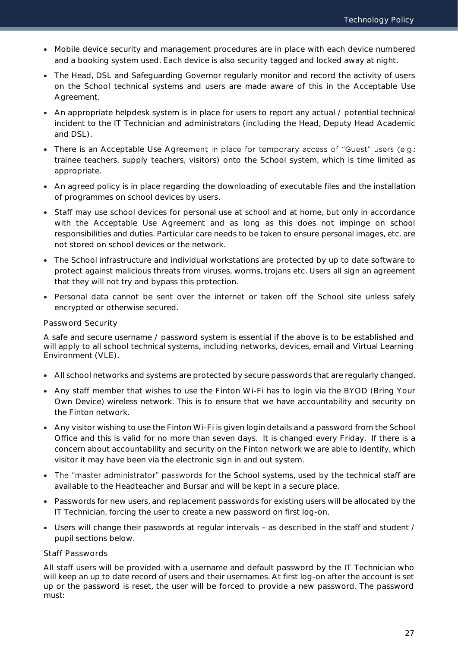- Mobile device security and management procedures are in place with each device numbered and a booking system used. Each device is also security tagged and locked away at night.
- The Head, DSL and Safeguarding Governor regularly monitor and record the activity of users on the School technical systems and users are made aware of this in the Acceptable Use Agreement.
- An appropriate helpdesk system is in place for users to report any actual / potential technical incident to the IT Technician and administrators (including the Head, Deputy Head Academic and DSL).
- There is an Acceptable Use Agreement in place for temporary access of "Guest" users (e.g.: trainee teachers, supply teachers, visitors) onto the School system, which is time limited as appropriate.
- An agreed policy is in place regarding the downloading of executable files and the installation of programmes on school devices by users.
- Staff may use school devices for personal use at school and at home, but only in accordance with the Acceptable Use Agreement and as long as this does not impinge on school responsibilities and duties. Particular care needs to be taken to ensure personal images, etc. are not stored on school devices or the network.
- The School infrastructure and individual workstations are protected by up to date software to protect against malicious threats from viruses, worms, trojans etc. Users all sign an agreement that they will not try and bypass this protection.
- Personal data cannot be sent over the internet or taken off the School site unless safely encrypted or otherwise secured.

### Password Security

A safe and secure username / password system is essential if the above is to be established and will apply to all school technical systems, including networks, devices, email and Virtual Learning Environment (VLE).

- All school networks and systems are protected by secure passwords that are regularly changed.
- Any staff member that wishes to use the Finton Wi-Fi has to login via the BYOD (Bring Your Own Device) wireless network. This is to ensure that we have accountability and security on the Finton network.
- Any visitor wishing to use the Finton Wi-Fi is given login details and a password from the School Office and this is valid for no more than seven days. It is changed every Friday. If there is a concern about accountability and security on the Finton network we are able to identify, which visitor it may have been via the electronic sign in and out system.
- The "master administrator" passwords for the School systems, used by the technical staff are available to the Headteacher and Bursar and will be kept in a secure place.
- Passwords for new users, and replacement passwords for existing users will be allocated by the IT Technician, forcing the user to create a new password on first log-on.
- Users will change their passwords at regular intervals as described in the staff and student / pupil sections below.

### Staff Passwords

All staff users will be provided with a username and default password by the IT Technician who will keep an up to date record of users and their usernames. At first log-on after the account is set up or the password is reset, the user will be forced to provide a new password. The password must: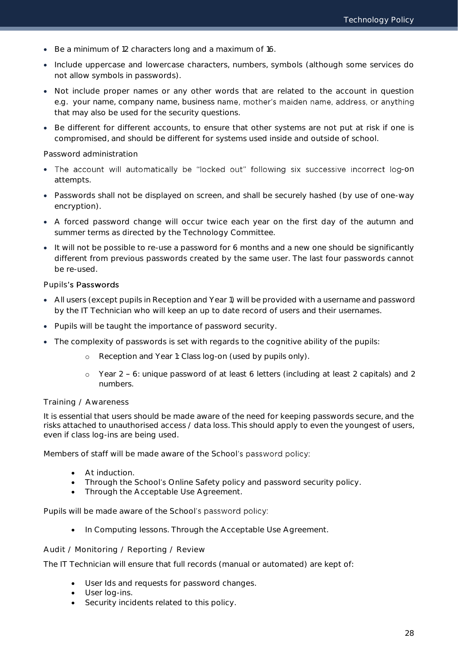- Be a minimum of 12 characters long and a maximum of 16.
- Include uppercase and lowercase characters, numbers, symbols (although some services do not allow symbols in passwords).
- Not include proper names or any other words that are related to the account in question e.g. your name, company name, business name, mother's maiden name, address, or anything that may also be used for the security questions.
- Be different for different accounts, to ensure that other systems are not put at risk if one is compromised, and should be different for systems used inside and outside of school.

### Password administration

- . The account will automatically be "locked out" following six successive incorrect log-on attempts.
- Passwords shall not be displayed on screen, and shall be securely hashed (by use of one-way encryption).
- A forced password change will occur twice each year on the first day of the autumn and summer terms as directed by the Technology Committee.
- It will not be possible to re-use a password for 6 months and a new one should be significantly different from previous passwords created by the same user. The last four passwords cannot be re-used.

### Pupils's Passwords

- All users (except pupils in Reception and Year 1) will be provided with a username and password by the IT Technician who will keep an up to date record of users and their usernames.
- Pupils will be taught the importance of password security.
- The complexity of passwords is set with regards to the cognitive ability of the pupils:
	- o Reception and Year 1: Class log-on (used by pupils only).
	- o Year 2 6: unique password of at least 6 letters (including at least 2 capitals) and 2 numbers.

### Training / Awareness

It is essential that users should be made aware of the need for keeping passwords secure, and the risks attached to unauthorised access / data loss. This should apply to even the youngest of users, even if class log-ins are being used.

Members of staff will be made aware of the School's password policy:

- At induction.
- Through the School's Online Safety policy and password security policy.
- Through the Acceptable Use Agreement.

Pupils will be made aware of the School's password policy:

• In Computing lessons. Through the Acceptable Use Agreement.

### Audit / Monitoring / Reporting / Review

The IT Technician will ensure that full records (manual or automated) are kept of:

- User Ids and requests for password changes.
- User log-ins.
- Security incidents related to this policy.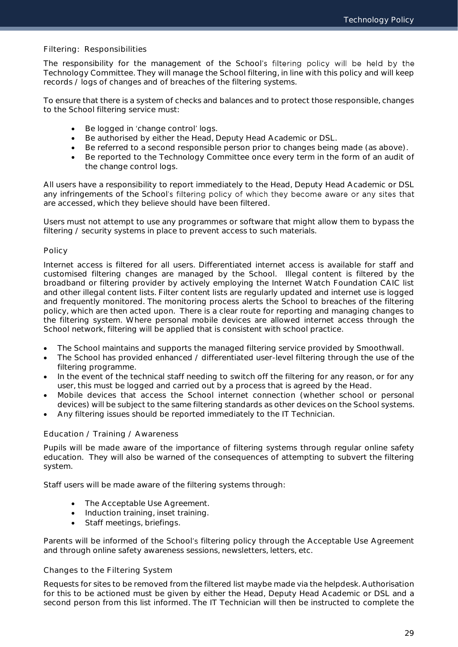### Filtering: Responsibilities

The responsibility for the management of the School's filtering policy will be held by the Technology Committee. They will manage the School filtering, in line with this policy and will keep records / logs of changes and of breaches of the filtering systems.

To ensure that there is a system of checks and balances and to protect those responsible, changes to the School filtering service must:

- Be logged in 'change control' logs.
- Be authorised by either the Head, Deputy Head Academic or DSL.
- Be referred to a second responsible person prior to changes being made (as above).
- Be reported to the Technology Committee once every term in the form of an audit of the change control logs.

All users have a responsibility to report immediately to the Head, Deputy Head Academic or DSL any infringements of the School's filtering policy of which they become aware or any sites that are accessed, which they believe should have been filtered.

Users must not attempt to use any programmes or software that might allow them to bypass the filtering / security systems in place to prevent access to such materials.

### Policy

Internet access is filtered for all users. Differentiated internet access is available for staff and customised filtering changes are managed by the School. Illegal content is filtered by the broadband or filtering provider by actively employing the Internet Watch Foundation CAIC list and other illegal content lists. Filter content lists are regularly updated and internet use is logged and frequently monitored. The monitoring process alerts the School to breaches of the filtering policy, which are then acted upon. There is a clear route for reporting and managing changes to the filtering system. Where personal mobile devices are allowed internet access through the School network, filtering will be applied that is consistent with school practice.

- The School maintains and supports the managed filtering service provided by Smoothwall.
- The School has provided enhanced / differentiated user-level filtering through the use of the filtering programme.
- In the event of the technical staff needing to switch off the filtering for any reason, or for any user, this must be logged and carried out by a process that is agreed by the Head.
- Mobile devices that access the School internet connection (whether school or personal devices) will be subject to the same filtering standards as other devices on the School systems.
- Any filtering issues should be reported immediately to the IT Technician.

### Education / Training / Awareness

Pupils will be made aware of the importance of filtering systems through regular online safety education. They will also be warned of the consequences of attempting to subvert the filtering system.

Staff users will be made aware of the filtering systems through:

- The Acceptable Use Agreement.
- Induction training, inset training.
- Staff meetings, briefings.

Parents will be informed of the School's filtering policy through the Acceptable Use Agreement and through online safety awareness sessions, newsletters, letters, etc.

### Changes to the Filtering System

Requests for sites to be removed from the filtered list maybe made via the helpdesk. Authorisation for this to be actioned must be given by either the Head, Deputy Head Academic or DSL and a second person from this list informed. The IT Technician will then be instructed to complete the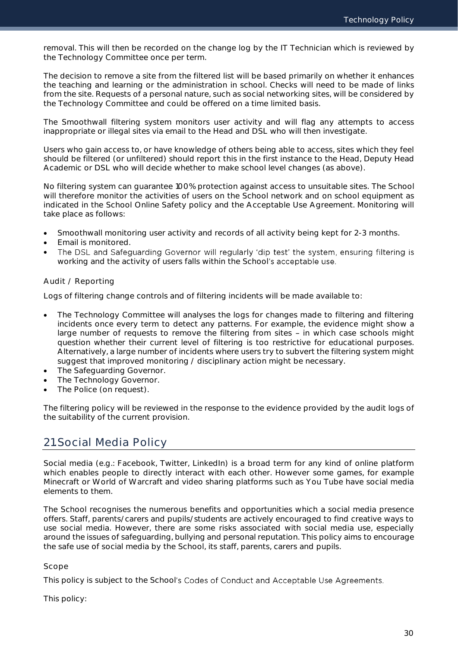removal. This will then be recorded on the change log by the IT Technician which is reviewed by the Technology Committee once per term.

The decision to remove a site from the filtered list will be based primarily on whether it enhances the teaching and learning or the administration in school. Checks will need to be made of links from the site. Requests of a personal nature, such as social networking sites, will be considered by the Technology Committee and could be offered on a time limited basis.

The Smoothwall filtering system monitors user activity and will flag any attempts to access inappropriate or illegal sites via email to the Head and DSL who will then investigate.

Users who gain access to, or have knowledge of others being able to access, sites which they feel should be filtered (or unfiltered) should report this in the first instance to the Head, Deputy Head Academic or DSL who will decide whether to make school level changes (as above).

No filtering system can guarantee 100% protection against access to unsuitable sites. The School will therefore monitor the activities of users on the School network and on school equipment as indicated in the School Online Safety policy and the Acceptable Use Agreement. Monitoring will take place as follows:

- Smoothwall monitoring user activity and records of all activity being kept for 2-3 months.
- Email is monitored.
- The DSL and Safeguarding Governor will regularly 'dip test' the system, ensuring filtering is  $\bullet$ working and the activity of users falls within the School's acceptable use.

### Audit / Reporting

Logs of filtering change controls and of filtering incidents will be made available to:

- The Technology Committee will analyses the logs for changes made to filtering and filtering incidents once every term to detect any patterns. For example, the evidence might show a large number of requests to remove the filtering from sites - in which case schools might question whether their current level of filtering is too restrictive for educational purposes. Alternatively, a large number of incidents where users try to subvert the filtering system might suggest that improved monitoring / disciplinary action might be necessary.
- The Safeguarding Governor.
- The Technology Governor.
- The Police (on request).

The filtering policy will be reviewed in the response to the evidence provided by the audit logs of the suitability of the current provision.

## <span id="page-30-0"></span>21.Social Media Policy

Social media (e.g.: Facebook, Twitter, LinkedIn) is a broad term for any kind of online platform which enables people to directly interact with each other. However some games, for example Minecraft or World of Warcraft and video sharing platforms such as You Tube have social media elements to them.

The School recognises the numerous benefits and opportunities which a social media presence offers. Staff, parents/carers and pupils/students are actively encouraged to find creative ways to use social media. However, there are some risks associated with social media use, especially around the issues of safeguarding, bullying and personal reputation. This policy aims to encourage the safe use of social media by the School, its staff, parents, carers and pupils.

### Scope

This policy is subject to the School's Codes of Conduct and Acceptable Use Agreements.

This policy: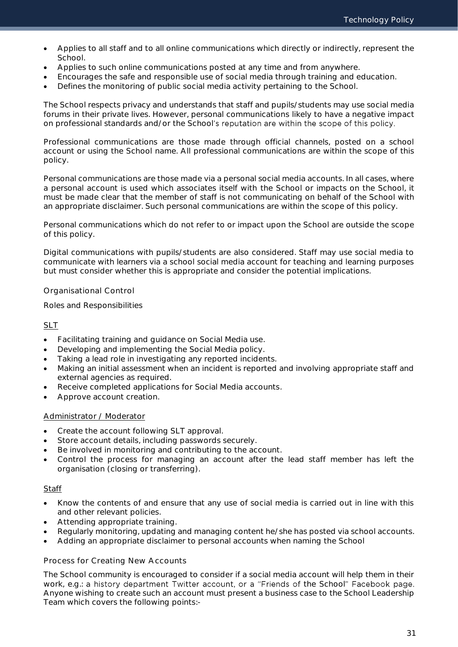- Applies to all staff and to all online communications which directly or indirectly, represent the School.
- Applies to such online communications posted at any time and from anywhere.
- Encourages the safe and responsible use of social media through training and education.
- Defines the monitoring of public social media activity pertaining to the School.

The School respects privacy and understands that staff and pupils/students may use social media forums in their private lives. However, personal communications likely to have a negative impact on professional standards and/or the School's reputation are within the scope of this policy.

Professional communications are those made through official channels, posted on a school account or using the School name. All professional communications are within the scope of this policy.

Personal communications are those made via a personal social media accounts. In all cases, where a personal account is used which associates itself with the School or impacts on the School, it must be made clear that the member of staff is not communicating on behalf of the School with an appropriate disclaimer. Such personal communications are within the scope of this policy.

Personal communications which do not refer to or impact upon the School are outside the scope of this policy.

Digital communications with pupils/students are also considered. Staff may use social media to communicate with learners via a school social media account for teaching and learning purposes but must consider whether this is appropriate and consider the potential implications.

Organisational Control

Roles and Responsibilities

### SLT

- Facilitating training and guidance on Social Media use.
- Developing and implementing the Social Media policy.
- Taking a lead role in investigating any reported incidents.
- Making an initial assessment when an incident is reported and involving appropriate staff and external agencies as required.
- Receive completed applications for Social Media accounts.
- Approve account creation.

### Administrator / Moderator

- Create the account following SLT approval.
- Store account details, including passwords securely.
- Be involved in monitoring and contributing to the account.
- Control the process for managing an account after the lead staff member has left the organisation (closing or transferring).

### **Staff**

- Know the contents of and ensure that any use of social media is carried out in line with this and other relevant policies.
- Attending appropriate training.
- Regularly monitoring, updating and managing content he/she has posted via school accounts.
- Adding an appropriate disclaimer to personal accounts when naming the School

### Process for Creating New Accounts

The School community is encouraged to consider if a social media account will help them in their work, e.g.: a history department Twitter account, or a "Friends of the School" Facebook page. Anyone wishing to create such an account must present a business case to the School Leadership Team which covers the following points:-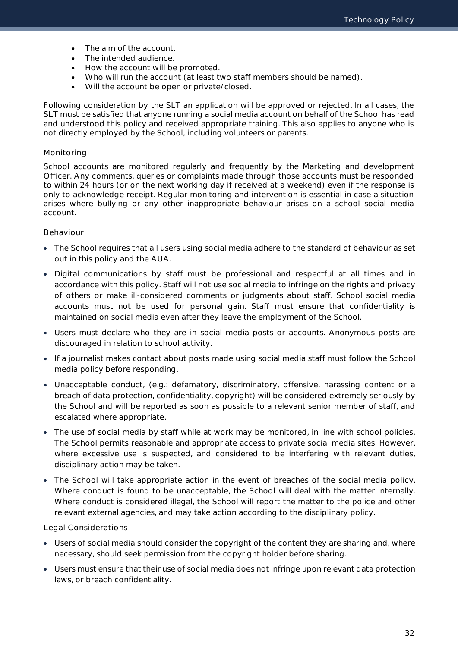- The aim of the account.
- The intended audience.
- How the account will be promoted.
- Who will run the account (at least two staff members should be named).
- Will the account be open or private/closed.

Following consideration by the SLT an application will be approved or rejected. In all cases, the SLT must be satisfied that anyone running a social media account on behalf of the School has read and understood this policy and received appropriate training. This also applies to anyone who is not directly employed by the School, including volunteers or parents.

### Monitoring

School accounts are monitored regularly and frequently by the Marketing and development Officer. Any comments, queries or complaints made through those accounts must be responded to within 24 hours (or on the next working day if received at a weekend) even if the response is only to acknowledge receipt. Regular monitoring and intervention is essential in case a situation arises where bullying or any other inappropriate behaviour arises on a school social media account.

### Behaviour

- The School requires that all users using social media adhere to the standard of behaviour as set out in this policy and the AUA.
- Digital communications by staff must be professional and respectful at all times and in accordance with this policy. Staff will not use social media to infringe on the rights and privacy of others or make ill-considered comments or judgments about staff. School social media accounts must not be used for personal gain. Staff must ensure that confidentiality is maintained on social media even after they leave the employment of the School.
- Users must declare who they are in social media posts or accounts. Anonymous posts are discouraged in relation to school activity.
- If a journalist makes contact about posts made using social media staff must follow the School media policy before responding.
- Unacceptable conduct, (e.g.: defamatory, discriminatory, offensive, harassing content or a breach of data protection, confidentiality, copyright) will be considered extremely seriously by the School and will be reported as soon as possible to a relevant senior member of staff, and escalated where appropriate.
- The use of social media by staff while at work may be monitored, in line with school policies. The School permits reasonable and appropriate access to private social media sites. However, where excessive use is suspected, and considered to be interfering with relevant duties, disciplinary action may be taken.
- The School will take appropriate action in the event of breaches of the social media policy. Where conduct is found to be unacceptable, the School will deal with the matter internally. Where conduct is considered illegal, the School will report the matter to the police and other relevant external agencies, and may take action according to the disciplinary policy.

Legal Considerations

- Users of social media should consider the copyright of the content they are sharing and, where necessary, should seek permission from the copyright holder before sharing.
- Users must ensure that their use of social media does not infringe upon relevant data protection laws, or breach confidentiality.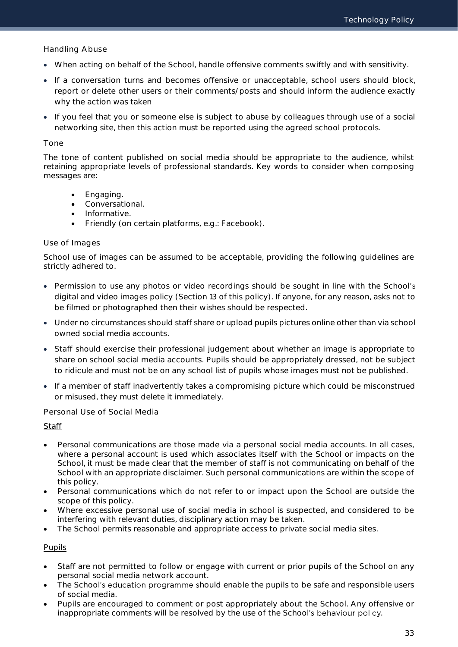Handling Abuse

- When acting on behalf of the School, handle offensive comments swiftly and with sensitivity.
- If a conversation turns and becomes offensive or unacceptable, school users should block, report or delete other users or their comments/posts and should inform the audience exactly why the action was taken
- If you feel that you or someone else is subject to abuse by colleagues through use of a social networking site, then this action must be reported using the agreed school protocols.

### Tone

The tone of content published on social media should be appropriate to the audience, whilst retaining appropriate levels of professional standards. Key words to consider when composing messages are:

- Engaging.
- Conversational.
- Informative.
- Friendly (on certain platforms, e.g.: Facebook).

### Use of Images

School use of images can be assumed to be acceptable, providing the following guidelines are strictly adhered to.

- Permission to use any photos or video recordings should be sought in line with the School's digital and video images policy (Section 13 of this policy). If anyone, for any reason, asks not to be filmed or photographed then their wishes should be respected.
- Under no circumstances should staff share or upload pupils pictures online other than via school owned social media accounts.
- Staff should exercise their professional judgement about whether an image is appropriate to share on school social media accounts. Pupils should be appropriately dressed, not be subject to ridicule and must not be on any school list of pupils whose images must not be published.
- If a member of staff inadvertently takes a compromising picture which could be misconstrued or misused, they must delete it immediately.

### Personal Use of Social Media

### **Staff**

- Personal communications are those made via a personal social media accounts. In all cases, where a personal account is used which associates itself with the School or impacts on the School, it must be made clear that the member of staff is not communicating on behalf of the School with an appropriate disclaimer. Such personal communications are within the scope of this policy.
- Personal communications which do not refer to or impact upon the School are outside the scope of this policy.
- Where excessive personal use of social media in school is suspected, and considered to be interfering with relevant duties, disciplinary action may be taken.
- The School permits reasonable and appropriate access to private social media sites.

### Pupils

- Staff are not permitted to follow or engage with current or prior pupils of the School on any personal social media network account.
- The School's education programme should enable the pupils to be safe and responsible users of social media.
- Pupils are encouraged to comment or post appropriately about the School. Any offensive or inappropriate comments will be resolved by the use of the School's behaviour policy.